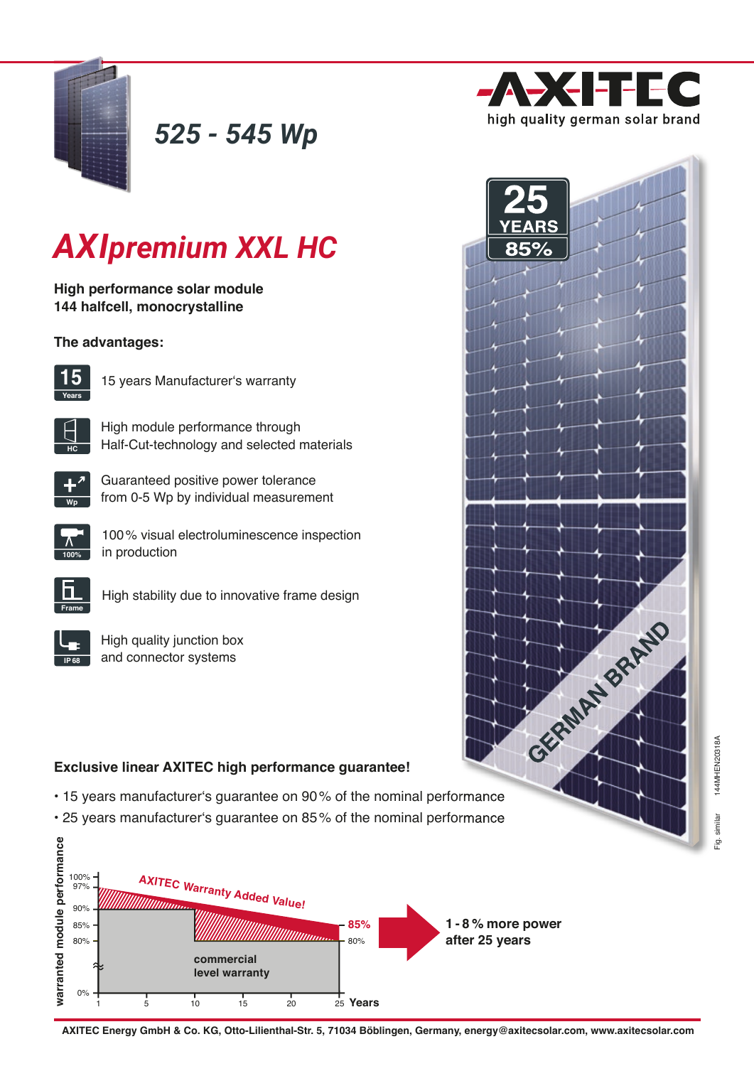

*525 - 545 Wp*



GRANT BARBO

# *AXIpremium XXL HC*

**High performance solar module 144 halfcell, monocrystalline**

### **The advantages:**



15 years Manufacturer's warranty

High module performance through Half-Cut-technology and selected materials



**HC**

Guaranteed positive power tolerance from 0-5 Wp by individual measurement



100 % visual electroluminescence inspection in production



High stability due to innovative frame design

High quality junction box and connector systems

## **Exclusive linear AXITEC high performance guarantee!**

- 15 years manufacturer's guarantee on 90 % of the nominal performance
- 25 years manufacturer's guarantee on 85 % of the nominal performance